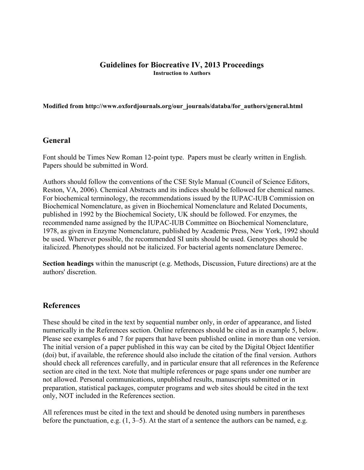#### **Guidelines for Biocreative IV, 2013 Proceedings Instruction to Authors**

**Modified from http://www.oxfordjournals.org/our\_journals/databa/for\_authors/general.html**

#### **General**

Font should be Times New Roman 12-point type. Papers must be clearly written in English. Papers should be submitted in Word.

Authors should follow the conventions of the CSE Style Manual (Council of Science Editors, Reston, VA, 2006). Chemical Abstracts and its indices should be followed for chemical names. For biochemical terminology, the recommendations issued by the IUPAC-IUB Commission on Biochemical Nomenclature, as given in Biochemical Nomenclature and Related Documents, published in 1992 by the Biochemical Society, UK should be followed. For enzymes, the recommended name assigned by the IUPAC-IUB Committee on Biochemical Nomenclature, 1978, as given in Enzyme Nomenclature, published by Academic Press, New York, 1992 should be used. Wherever possible, the recommended SI units should be used. Genotypes should be italicized. Phenotypes should not be italicized. For bacterial agents nomenclature Demerec.

**Section headings** within the manuscript (e.g. Methods, Discussion, Future directions) are at the authors' discretion.

# **References**

These should be cited in the text by sequential number only, in order of appearance, and listed numerically in the References section. Online references should be cited as in example 5, below. Please see examples 6 and 7 for papers that have been published online in more than one version. The initial version of a paper published in this way can be cited by the Digital Object Identifier (doi) but, if available, the reference should also include the citation of the final version. Authors should check all references carefully, and in particular ensure that all references in the Reference section are cited in the text. Note that multiple references or page spans under one number are not allowed. Personal communications, unpublished results, manuscripts submitted or in preparation, statistical packages, computer programs and web sites should be cited in the text only, NOT included in the References section.

All references must be cited in the text and should be denoted using numbers in parentheses before the punctuation, e.g. (1, 3–5). At the start of a sentence the authors can be named, e.g.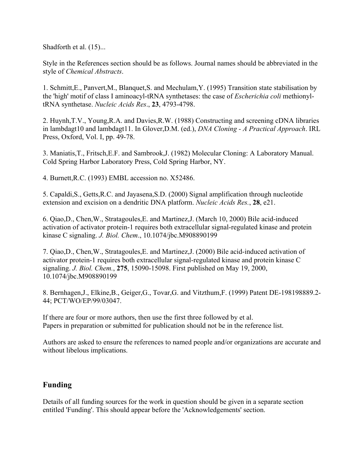Shadforth et al.  $(15)$ ...

Style in the References section should be as follows. Journal names should be abbreviated in the style of *Chemical Abstracts*.

1. Schmitt,E., Panvert,M., Blanquet,S. and Mechulam,Y. (1995) Transition state stabilisation by the 'high' motif of class I aminoacyl-tRNA synthetases: the case of *Escherichia coli* methionyltRNA synthetase. *Nucleic Acids Res*., **23**, 4793-4798.

2. Huynh,T.V., Young,R.A. and Davies,R.W. (1988) Constructing and screening cDNA libraries in lambdagt10 and lambdagt11. In Glover,D.M. (ed.), *DNA Cloning - A Practical Approach*. IRL Press, Oxford, Vol. I, pp. 49-78.

3. Maniatis,T., Fritsch,E.F. and Sambrook,J. (1982) Molecular Cloning: A Laboratory Manual. Cold Spring Harbor Laboratory Press, Cold Spring Harbor, NY.

4. Burnett,R.C. (1993) EMBL accession no. X52486.

5. Capaldi,S., Getts,R.C. and Jayasena,S.D. (2000) Signal amplification through nucleotide extension and excision on a dendritic DNA platform. *Nucleic Acids Res.*, **28**, e21.

6. Qiao,D., Chen,W., Stratagoules,E. and Martinez,J. (March 10, 2000) Bile acid-induced activation of activator protein-1 requires both extracellular signal-regulated kinase and protein kinase C signaling. *J. Biol. Chem*., 10.1074/jbc.M908890199

7. Qiao,D., Chen,W., Stratagoules,E. and Martinez,J. (2000) Bile acid-induced activation of activator protein-1 requires both extracellular signal-regulated kinase and protein kinase C signaling. *J. Biol. Chem.*, **275**, 15090-15098. First published on May 19, 2000, 10.1074/jbc.M908890199

8. Bernhagen,J., Elkine,B., Geiger,G., Tovar,G. and Vitzthum,F. (1999) Patent DE-198198889.2- 44; PCT/WO/EP/99/03047.

If there are four or more authors, then use the first three followed by et al. Papers in preparation or submitted for publication should not be in the reference list.

Authors are asked to ensure the references to named people and/or organizations are accurate and without libelous implications.

# **Funding**

Details of all funding sources for the work in question should be given in a separate section entitled 'Funding'. This should appear before the 'Acknowledgements' section.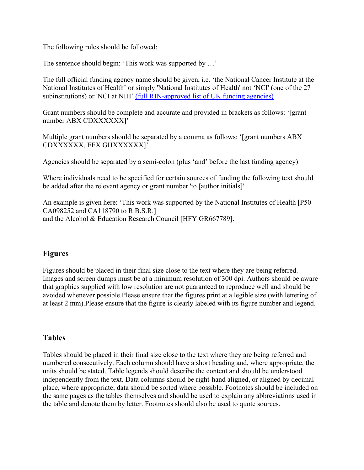The following rules should be followed:

The sentence should begin: 'This work was supported by …'

The full official funding agency name should be given, i.e. 'the National Cancer Institute at the National Institutes of Health' or simply 'National Institutes of Health' not 'NCI' (one of the 27 subinstitutions) or 'NCI at NIH' (full RIN-approved list of UK funding agencies)

Grant numbers should be complete and accurate and provided in brackets as follows: '[grant number ABX CDXXXXXX]'

Multiple grant numbers should be separated by a comma as follows: '[grant numbers ABX CDXXXXXX, EFX GHXXXXXX]'

Agencies should be separated by a semi-colon (plus 'and' before the last funding agency)

Where individuals need to be specified for certain sources of funding the following text should be added after the relevant agency or grant number 'to [author initials]'

An example is given here: 'This work was supported by the National Institutes of Health [P50 CA098252 and CA118790 to R.B.S.R.] and the Alcohol & Education Research Council [HFY GR667789].

# **Figures**

Figures should be placed in their final size close to the text where they are being referred. Images and screen dumps must be at a minimum resolution of 300 dpi. Authors should be aware that graphics supplied with low resolution are not guaranteed to reproduce well and should be avoided whenever possible.Please ensure that the figures print at a legible size (with lettering of at least 2 mm).Please ensure that the figure is clearly labeled with its figure number and legend.

# **Tables**

Tables should be placed in their final size close to the text where they are being referred and numbered consecutively. Each column should have a short heading and, where appropriate, the units should be stated. Table legends should describe the content and should be understood independently from the text. Data columns should be right-hand aligned, or aligned by decimal place, where appropriate; data should be sorted where possible. Footnotes should be included on the same pages as the tables themselves and should be used to explain any abbreviations used in the table and denote them by letter. Footnotes should also be used to quote sources.